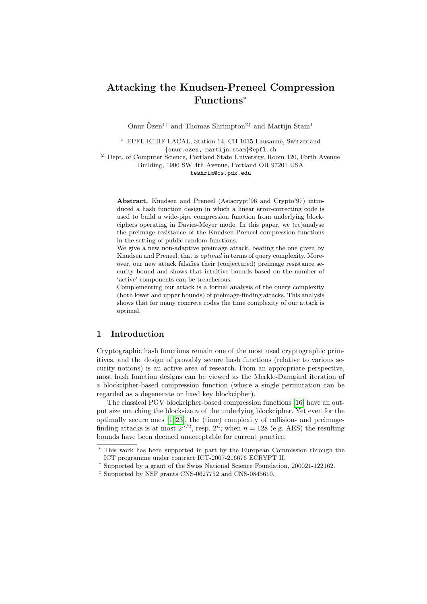# Attacking the Knudsen-Preneel Compression Functions<sup>∗</sup>

Onur Özen<sup>1†</sup> and Thomas Shrimpton<sup>2‡</sup> and Martijn Stam<sup>1</sup>

<sup>1</sup> EPFL IC IIF LACAL, Station 14, CH-1015 Lausanne, Switzerland {onur.ozen, martijn.stam}@epfl.ch

<sup>2</sup> Dept. of Computer Science, Portland State University, Room 120, Forth Avenue Building, 1900 SW 4th Avenue, Portland OR 97201 USA teshrim@cs.pdx.edu

Abstract. Knudsen and Preneel (Asiacrypt'96 and Crypto'97) introduced a hash function design in which a linear error-correcting code is used to build a wide-pipe compression function from underlying blockciphers operating in Davies-Meyer mode. In this paper, we (re)analyse the preimage resistance of the Knudsen-Preneel compression functions in the setting of public random functions.

We give a new non-adaptive preimage attack, beating the one given by Knudsen and Preneel, that is optimal in terms of query complexity. Moreover, our new attack falsifies their (conjectured) preimage resistance security bound and shows that intuitive bounds based on the number of 'active' components can be treacherous.

Complementing our attack is a formal analysis of the query complexity (both lower and upper bounds) of preimage-finding attacks. This analysis shows that for many concrete codes the time complexity of our attack is optimal.

#### 1 Introduction

Cryptographic hash functions remain one of the most used cryptographic primitives, and the design of provably secure hash functions (relative to various security notions) is an active area of research. From an appropriate perspective, most hash function designs can be viewed as the Merkle-Damgård iteration of a blockcipher-based compression function (where a single permutation can be regarded as a degenerate or fixed key blockcipher).

The classical PGV blockcipher-based compression functions [\[16\]](#page-19-0) have an output size matching the blocksize  $n$  of the underlying blockcipher. Yet even for the optimally secure ones [\[1,](#page-18-0) [23\]](#page-19-1), the (time) complexity of collision- and preimagefinding attacks is at most  $2^{n/2}$ , resp.  $2^n$ ; when  $n = 128$  (e.g. AES) the resulting bounds have been deemed unacceptable for current practice.

<sup>∗</sup> This work has been supported in part by the European Commission through the ICT programme under contract ICT-2007-216676 ECRYPT II.

 $^\dagger$  Supported by a grant of the Swiss National Science Foundation, 200021-122162.

<sup>‡</sup> Supported by NSF grants CNS-0627752 and CNS-0845610.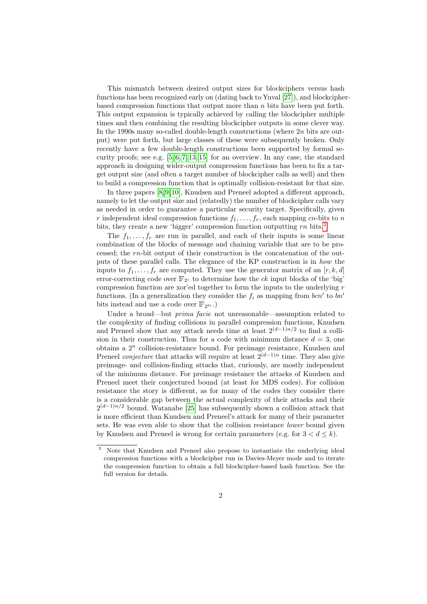This mismatch between desired output sizes for blockciphers versus hash functions has been recognized early on (dating back to Yuval [\[27\]](#page-19-2)), and blockcipherbased compression functions that output more than  $n$  bits have been put forth. This output expansion is typically achieved by calling the blockcipher multiple times and then combining the resulting blockcipher outputs in some clever way. In the 1990s many so-called double-length constructions (where  $2n$  bits are output) were put forth, but large classes of these were subsequently broken. Only recently have a few double-length constructions been supported by formal security proofs; see e.g.  $[5, 6, 7, 13, 15]$  $[5, 6, 7, 13, 15]$  $[5, 6, 7, 13, 15]$  $[5, 6, 7, 13, 15]$  $[5, 6, 7, 13, 15]$  for an overview. In any case, the standard approach in designing wider-output compression functions has been to fix a target output size (and often a target number of blockcipher calls as well) and then to build a compression function that is optimally collision-resistant for that size.

In three papers [\[8,](#page-18-4) [9,](#page-18-5) [10\]](#page-18-6), Knudsen and Preneel adopted a different approach, namely to let the output size and (relatedly) the number of blockcipher calls vary as needed in order to guarantee a particular security target. Specifically, given r independent ideal compression functions  $f_1, \ldots, f_r$ , each mapping cn-bits to n bits, they create a new 'bigger' compression function outputting  $rn$  bits.<sup>[3](#page-1-0)</sup>

The  $f_1, \ldots, f_r$  are run in parallel, and each of their inputs is some linear combination of the blocks of message and chaining variable that are to be processed; the rn-bit output of their construction is the concatenation of the outputs of these parallel calls. The elegance of the KP construction is in how the inputs to  $f_1, \ldots, f_r$  are computed. They use the generator matrix of an  $[r, k, d]$ error-correcting code over  $\mathbb{F}_{2^c}$  to determine how the ck input blocks of the 'big' compression function are xor'ed together to form the inputs to the underlying  $r$ functions. (In a generalization they consider the  $f_i$  as mapping from  $bcn'$  to  $bn'$ bits instead and use a code over  $\mathbb{F}_{2^{bc}}$ .)

Under a broad—but *prima facie* not unreasonable—assumption related to the complexity of finding collisions in parallel compression functions, Knudsen and Preneel show that any attack needs time at least  $2^{(d-1)n/2}$  to find a collision in their construction. Thus for a code with minimum distance  $d = 3$ , one obtains a  $2<sup>n</sup>$  collision-resistance bound. For preimage resistance, Knudsen and Preneel *conjecture* that attacks will require at least  $2^{(d-1)n}$  time. They also give preimage- and collision-finding attacks that, curiously, are mostly independent of the minimum distance. For preimage resistance the attacks of Knudsen and Preneel meet their conjectured bound (at least for MDS codes). For collision resistance the story is different, as for many of the codes they consider there is a considerable gap between the actual complexity of their attacks and their  $2^{(d-1)n/2}$  bound. Watanabe [\[25\]](#page-19-5) has subsequently shown a collision attack that is more efficient than Knudsen and Preneel's attack for many of their parameter sets. He was even able to show that the collision resistance *lower* bound given by Knudsen and Preneel is wrong for certain parameters (e.g. for  $3 < d \leq k$ ).

<span id="page-1-0"></span><sup>3</sup> Note that Knudsen and Preneel also propose to instantiate the underlying ideal compression functions with a blockcipher run in Davies-Meyer mode and to iterate the compression function to obtain a full blockcipher-based hash function. See the full version for details.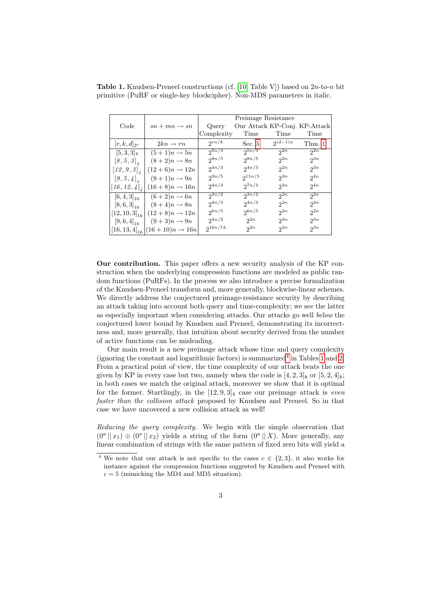|                                                             |                           | Preimage Resistance                    |             |              |          |  |  |
|-------------------------------------------------------------|---------------------------|----------------------------------------|-------------|--------------|----------|--|--|
| Code                                                        | $sn + mn \rightarrow sn$  | Our Attack KP-Conj. KP-Attack<br>Query |             |              |          |  |  |
|                                                             |                           | Complexity                             | Time        | Time         | Time     |  |  |
| $ r, k, d _{2^e}$                                           | $2kn \rightarrow rn$      | $2^{rn/k}$                             | Sec. $5$    | $2^{(d-1)n}$ | Thm. 1   |  |  |
| $[5,3,3]_4$                                                 | $(5+1)n \rightarrow 5n$   | $2^{5n/3}$                             | $2^{5n/3}$  | $2^{2n}$     | $2^{2n}$ |  |  |
| $\left[8,5,3\right]$                                        | $(8+2)n \rightarrow 8n$   | $2^{8n/5}$                             | $2^{8n/5}$  | $2^{2n}$     | $2^{3n}$ |  |  |
| $\left[\textit{12},\textit{9},\textit{3}\right]_\textit{4}$ | $(12+6)n \rightarrow 12n$ | $2^{4n/3}$                             | $2^{4n/3}$  | $2^{2n}$     | $2^{3n}$ |  |  |
| $[9,5,4]_4$                                                 | $(9+1)n \rightarrow 9n$   | $2^{9n/5}$                             | $2^{11n/5}$ | $2^{3n}$     | $2^{4n}$ |  |  |
| $[16, 12, 4]_x$                                             | $(16+8)n \rightarrow 16n$ | $2^{4n/3}$                             | $2^{7n/3}$  | $2^{3n}$     | $2^{4n}$ |  |  |
| $[6,4,3]_{16}$                                              | $(6+2)n \rightarrow 6n$   | $2^{3n/2}$                             | $2^{3n/2}$  | 2n           | 2n       |  |  |
| $[8,6,3]_{16}$                                              | $(8+4)n \rightarrow 8n$   | $2^{4n/3}$                             | $2^{4n/3}$  | $2^{2n}$     | $2^{2n}$ |  |  |
| $[12, 10, 3]_{16}$                                          | $(12+8)n \rightarrow 12n$ | $2^{6n/5}$                             | $2^{6n/5}$  | $2^{2n}$     | $2^{2n}$ |  |  |
| $[9,6,4]_{16}$                                              | $(9+3)n \rightarrow 9n$   | $2^{3n/2}$                             | $2^{2n}$    | $2^{3n}$     | $2^{3n}$ |  |  |
| $[16, 13, 4]_{16}$                                          | $(16+10)n \to 16n$        | $2^{16n/13}$                           | $2^{2n}$    | $2^{3n}$     | $2^{3n}$ |  |  |

<span id="page-2-1"></span>**Table 1.** Knudsen-Preneel constructions (cf. [\[10,](#page-18-6) Table V]) based on  $2n$ -to-n bit primitive (PuRF or single-key blockcipher). Non-MDS parameters in italic.

Our contribution. This paper offers a new security analysis of the KP construction when the underlying compression functions are modeled as public random functions (PuRFs). In the process we also introduce a precise formalization of the Knudsen-Preneel transform and, more generally, blockwise-linear schemes. We directly address the conjectured preimage-resistance security by describing an attack taking into account both query and time-complexity; we see the latter as especially important when considering attacks. Our attacks go well below the conjectured lower bound by Knudsen and Preneel, demonstrating its incorrectness and, more generally, that intuition about security derived from the number of active functions can be misleading.

Our main result is a new preimage attack whose time and query complexity (ignoring the constant and logarithmic factors) is summarized<sup>[4](#page-2-0)</sup> in Tables [1](#page-2-1) and [2.](#page-3-0) From a practical point of view, the time complexity of our attack beats the one given by KP in every case but two, namely when the code is  $[4, 2, 3]_8$  or  $[5, 2, 4]_8$ ; in both cases we match the original attack, moreover we show that it is optimal for the former. Startlingly, in the  $[12, 9, 3]_4$  case our preimage attack is *even* faster than the collision attack proposed by Knudsen and Preneel. So in that case we have uncovered a new collision attack as well!

Reducing the query complexity. We begin with the simple observation that  $(0^a || x_1) \oplus (0^a || x_2)$  yields a string of the form  $(0^a || X)$ . More generally, any linear combination of strings with the same pattern of fixed zero bits will yield a

<span id="page-2-0"></span><sup>&</sup>lt;sup>4</sup> We note that our attack is not specific to the cases  $c \in \{2,3\}$ , it also works for instance against the compression functions suggested by Knudsen and Preneel with  $c = 5$  (mimicking the MD4 and MD5 situation).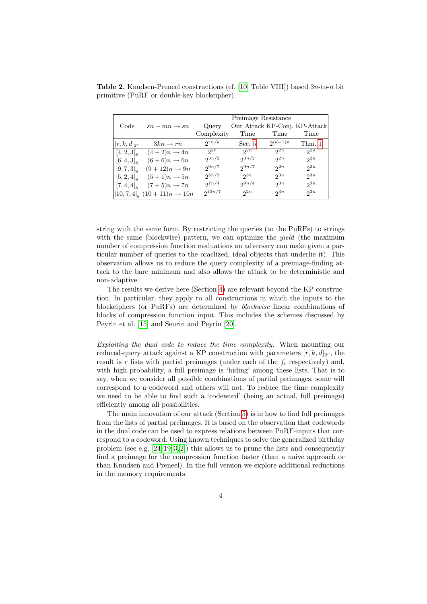|                     |                                          | Preimage Resistance |                               |              |          |  |  |
|---------------------|------------------------------------------|---------------------|-------------------------------|--------------|----------|--|--|
| Code                | $sn + mn \rightarrow sn$                 | Query               | Our Attack KP-Conj. KP-Attack |              |          |  |  |
|                     |                                          | Complexity          | Time                          | Time         | Time     |  |  |
| $[r, k, d]_{2^e}$   | $3kn \rightarrow rn$                     | $2^{rn/k}$          | Sec. 5                        | $2^{(d-1)n}$ | Thm. 1   |  |  |
| $[4, 2, 3]_8$       | $(4+2)n \rightarrow 4n$                  | $2^{2n}$            | $2^{2n}$                      | $2^{2n}$     | $2^{2n}$ |  |  |
| $[6, 4, 3]_{\rm s}$ | $(6+6)n \rightarrow 6n$                  | $2^{3n/2}$          | $2^{3n/2}$                    | $2^{2n}$     | $2^{2n}$ |  |  |
| $[9, 7, 3]_{8}$     | $(9+12)n \rightarrow 9n$                 | $2^{9n/7}$          | $2^{9n/7}$                    | $2^{2n}$     | $2^{2n}$ |  |  |
| $[5, 2, 4]_{\rm s}$ | $(5+1)n \rightarrow 5n$                  | $2^{5n/2}$          | $2^{3n}$                      | $2^{3n}$     | $2^{3n}$ |  |  |
| $[7, 4, 4]_8$       | $(7+5)n \rightarrow 7n$                  | $2^{7n/4}$          | $2^{9n/4}$                    | $2^{3n}$     | $2^{3n}$ |  |  |
|                     | $[10, 7, 4]_8[(10+11)n \rightarrow 10n]$ | $2^{10n/7}$         | $2^{2n}$                      | $2^{3n}$     | $2^{3n}$ |  |  |

<span id="page-3-0"></span>**Table 2.** Knudsen-Preneel constructions (cf. [\[10,](#page-18-6) Table VIII]) based  $3n$ -to-n bit primitive (PuRF or double-key blockcipher).

string with the same form. By restricting the queries (to the PuRFs) to strings with the same (blockwise) pattern, we can optimize the *yield* (the maximum number of compression function evaluations an adversary can make given a particular number of queries to the oraclized, ideal objects that underlie it). This observation allows us to reduce the query complexity of a preimage-finding attack to the bare minimum and also allows the attack to be deterministic and non-adaptive.

The results we derive here (Section [4\)](#page-7-1) are relevant beyond the KP construction. In particular, they apply to all constructions in which the inputs to the blockciphers (or PuRFs) are determined by blockwise linear combinations of blocks of compression function input. This includes the schemes discussed by Peyrin et al. [\[15\]](#page-19-4) and Seurin and Peyrin [\[20\]](#page-19-6).

Exploiting the dual code to reduce the time complexity. When mounting our reduced-query attack against a KP construction with parameters  $[r, k, d]_{2^e}$ , the result is r lists with partial preimages (under each of the  $f_i$  respectively) and, with high probability, a full preimage is 'hiding' among these lists. That is to say, when we consider all possible combinations of partial preimages, some will correspond to a codeword and others will not. To reduce the time complexity we need to be able to find such a 'codeword' (being an actual, full preimage) efficiently among all possibilities.

The main innovation of our attack (Section [5\)](#page-10-0) is in how to find full preimages from the lists of partial preimages. It is based on the observation that codewords in the dual code can be used to express relations between PuRF-inputs that correspond to a codeword. Using known techniques to solve the generalized birthday problem (see e.g.  $[24, 19, 3, 2]$  $[24, 19, 3, 2]$  $[24, 19, 3, 2]$  $[24, 19, 3, 2]$ ) this allows us to prune the lists and consequently find a preimage for the compression function faster (than a naive approach or than Knudsen and Preneel). In the full version we explore additional reductions in the memory requirements.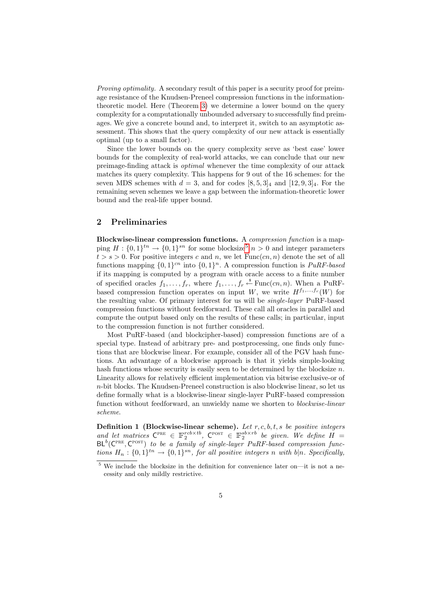Proving optimality. A secondary result of this paper is a security proof for preimage resistance of the Knudsen-Preneel compression functions in the informationtheoretic model. Here (Theorem [3\)](#page-9-0) we determine a lower bound on the query complexity for a computationally unbounded adversary to successfully find preimages. We give a concrete bound and, to interpret it, switch to an asymptotic assessment. This shows that the query complexity of our new attack is essentially optimal (up to a small factor).

Since the lower bounds on the query complexity serve as 'best case' lower bounds for the complexity of real-world attacks, we can conclude that our new preimage-finding attack is optimal whenever the time complexity of our attack matches its query complexity. This happens for 9 out of the 16 schemes: for the seven MDS schemes with  $d = 3$ , and for codes  $[8, 5, 3]_4$  and  $[12, 9, 3]_4$ . For the remaining seven schemes we leave a gap between the information-theoretic lower bound and the real-life upper bound.

## 2 Preliminaries

Blockwise-linear compression functions. A compression function is a mapping  $H: \{0,1\}^{tn} \to \{0,1\}^{sn}$  for some blocksize<sup>[5](#page-4-0)</sup>  $n > 0$  and integer parameters  $t > s > 0$ . For positive integers c and n, we let  $Func(cn, n)$  denote the set of all functions mapping  $\{0,1\}^{cn}$  into  $\{0,1\}^n$ . A compression function is  $PuRF-based$ if its mapping is computed by a program with oracle access to a finite number of specified oracles  $f_1, \ldots, f_r$ , where  $f_1, \ldots, f_r \stackrel{\$}{\leftarrow} \text{Func}(cn, n)$ . When a PuRFbased compression function operates on input W, we write  $H^{f_1,\ldots,f_r}(W)$  for the resulting value. Of primary interest for us will be single-layer PuRF-based compression functions without feedforward. These call all oracles in parallel and compute the output based only on the results of these calls; in particular, input to the compression function is not further considered.

Most PuRF-based (and blockcipher-based) compression functions are of a special type. Instead of arbitrary pre- and postprocessing, one finds only functions that are blockwise linear. For example, consider all of the PGV hash functions. An advantage of a blockwise approach is that it yields simple-looking hash functions whose security is easily seen to be determined by the blocksize  $n$ . Linearity allows for relatively efficient implementation via bitwise exclusive-or of  $n$ -bit blocks. The Knudsen-Preneel construction is also blockwise linear, so let us define formally what is a blockwise-linear single-layer PuRF-based compression function without feedforward, an unwieldy name we shorten to blockwise-linear scheme.

<span id="page-4-1"></span>**Definition 1 (Blockwise-linear scheme).** Let  $r, c, b, t, s$  be positive integers and let matrices  $C^{PRE} \in \mathbb{F}_2^{rob \times tb}$ ,  $C^{POST} \in \mathbb{F}_2^{sb \times rb}$  be given. We define  $H =$  $BL^b(C^{PRE}, C^{POST})$  to be a family of single-layer PuRF-based compression functions  $H_n: \{0,1\}^{tn} \to \{0,1\}^{sn}$ , for all positive integers n with  $b|n$ . Specifically,

<span id="page-4-0"></span> $5$  We include the blocksize in the definition for convenience later on—it is not a necessity and only mildly restrictive.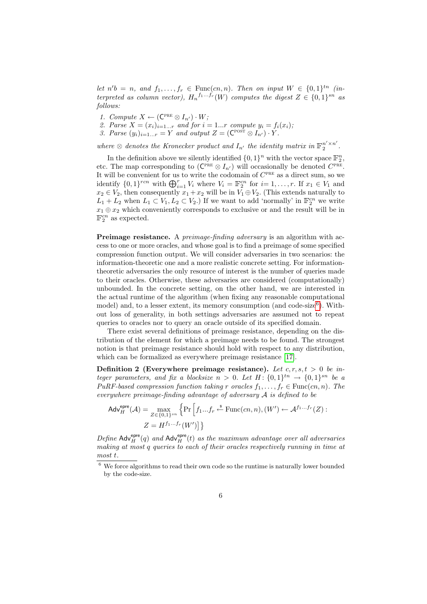let  $n'b = n$ , and  $f_1, \ldots, f_r \in \text{Func}(cn, n)$ . Then on input  $W \in \{0, 1\}^{tn}$  (interpreted as column vector),  $H_n^{f_1...f_r}(W)$  computes the digest  $Z \in \{0,1\}^{sn}$  as follows:

- 1. Compute  $X \leftarrow (\mathsf{C}^{\text{PRE}} \otimes I_{n'}) \cdot W;$
- 2. Parse  $X = (x_i)_{i=1...r}$  and for  $i = 1...r$  compute  $y_i = f_i(x_i)$ ;
- 3. Parse  $(y_i)_{i=1...r} = Y$  and output  $Z = (\mathbb{C}^{\text{post}} \otimes I_{n'}) \cdot Y$ .

where  $\otimes$  denotes the Kronecker product and  $I_{n'}$  the identity matrix in  $\mathbb{F}_2^{n' \times n'}$  $\frac{n \times n}{2}$ .

In the definition above we silently identified  $\{0,1\}^n$  with the vector space  $\mathbb{F}_2^n$ , etc. The map corresponding to  $(\mathsf{C}^{\text{PRE}} \otimes I_{n'})$  will occasionally be denoted  $C^{\text{PRE}}$ . It will be convenient for us to write the codomain of  $C^{PRE}$  as a direct sum, so we identify  $\{0,1\}^{ren}$  with  $\bigoplus_{i=1}^r V_i$  where  $V_i = \mathbb{F}_2^{cn}$  for  $i = 1, \ldots, r$ . If  $x_1 \in V_1$  and  $x_2 \in V_2$ , then consequently  $x_1 + x_2$  will be in  $\overline{V_1} \oplus V_2$ . (This extends naturally to  $L_1 + L_2$  when  $L_1 \subset V_1, L_2 \subset V_2$ .) If we want to add 'normally' in  $\mathbb{F}_2^{cn}$  we write  $x_1 \oplus x_2$  which conveniently corresponds to exclusive or and the result will be in  $\mathbb{F}_2^{cn}$  as expected.

**Preimage resistance.** A preimage-finding adversary is an algorithm with access to one or more oracles, and whose goal is to find a preimage of some specified compression function output. We will consider adversaries in two scenarios: the information-theoretic one and a more realistic concrete setting. For informationtheoretic adversaries the only resource of interest is the number of queries made to their oracles. Otherwise, these adversaries are considered (computationally) unbounded. In the concrete setting, on the other hand, we are interested in the actual runtime of the algorithm (when fixing any reasonable computational model) and, to a lesser extent, its memory consumption (and code-size<sup>[6](#page-5-0)</sup>). Without loss of generality, in both settings adversaries are assumed not to repeat queries to oracles nor to query an oracle outside of its specified domain.

There exist several definitions of preimage resistance, depending on the distribution of the element for which a preimage needs to be found. The strongest notion is that preimage resistance should hold with respect to any distribution, which can be formalized as everywhere preimage resistance [\[17\]](#page-19-9).

Definition 2 (Everywhere preimage resistance). Let  $c, r, s, t > 0$  be integer parameters, and fix a blocksize  $n > 0$ . Let  $H: \{0,1\}^{tn} \rightarrow \{0,1\}^{sn}$  be a PuRF-based compression function taking r oracles  $f_1, \ldots, f_r \in \text{Func}(cn, n)$ . The everywhere preimage-finding advantage of adversary A is defined to be

$$
Adv_H^{\text{epre}}(\mathcal{A}) = \max_{Z \in \{0,1\}^{sn}} \left\{ \Pr \left[ f_1...f_r \stackrel{\text{s}}{\leftarrow} \text{Func}(cn, n), (W') \leftarrow \mathcal{A}^{f_1...f_r}(Z) : \right. \right. \right. \\ Z = H^{f_1...f_r}(W') \right\}
$$

Define  $\mathsf{Adv}^{\mathsf{epre}}_H(q)$  and  $\mathsf{Adv}^{\mathsf{epre}}_H(t)$  as the maximum advantage over all adversaries making at most q queries to each of their oracles respectively running in time at most t.

<span id="page-5-0"></span> $6\,$  We force algorithms to read their own code so the runtime is naturally lower bounded by the code-size.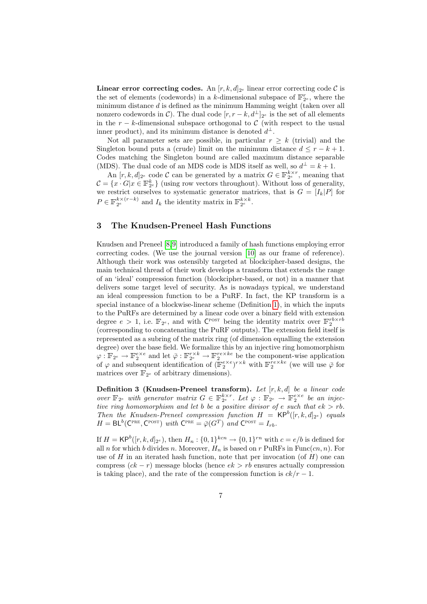Linear error correcting codes. An  $[r, k, d]_{2^e}$  linear error correcting code  $\mathcal C$  is the set of elements (codewords) in a k-dimensional subspace of  $\mathbb{F}_{2^e}^r$ , where the minimum distance  $d$  is defined as the minimum Hamming weight (taken over all nonzero codewords in  $\mathcal{C}$ ). The dual code  $[r, r - k, d^{\perp}]_{2^e}$  is the set of all elements in the  $r - k$ -dimensional subspace orthogonal to C (with respect to the usual inner product), and its minimum distance is denoted  $d^{\perp}$ .

Not all parameter sets are possible, in particular  $r \geq k$  (trivial) and the Singleton bound puts a (crude) limit on the minimum distance  $d \leq r - k + 1$ . Codes matching the Singleton bound are called maximum distance separable (MDS). The dual code of an MDS code is MDS itself as well, so  $d^{\perp} = k + 1$ .

An  $[r, k, d]_{2^e}$  code C can be generated by a matrix  $G \in \mathbb{F}_{2^e}^{k \times r}$ , meaning that  $\mathcal{C} = \{x \cdot G | x \in \mathbb{F}_{2^e}^k\}$  (using row vectors throughout). Without loss of generality, we restrict ourselves to systematic generator matrices, that is  $G = [I_k|P]$  for  $P \in \mathbb{F}_{2^e}^{k \times (r-k)}$  and  $I_k$  the identity matrix in  $\mathbb{F}_{2^e}^{k \times k}$ .

## 3 The Knudsen-Preneel Hash Functions

Knudsen and Preneel [\[8,](#page-18-4)[9\]](#page-18-5) introduced a family of hash functions employing error correcting codes. (We use the journal version [\[10\]](#page-18-6) as our frame of reference). Although their work was ostensibly targeted at blockcipher-based designs, the main technical thread of their work develops a transform that extends the range of an 'ideal' compression function (blockcipher-based, or not) in a manner that delivers some target level of security. As is nowadays typical, we understand an ideal compression function to be a PuRF. In fact, the KP transform is a special instance of a blockwise-linear scheme (Definition [1\)](#page-4-1), in which the inputs to the PuRFs are determined by a linear code over a binary field with extension degree  $e > 1$ , i.e.  $\mathbb{F}_{2^e}$ , and with  $\mathsf{C}^{\text{POST}}$  being the identity matrix over  $\mathbb{F}_2^{rb \times rb}$ (corresponding to concatenating the PuRF outputs). The extension field itself is represented as a subring of the matrix ring (of dimension equalling the extension degree) over the base field. We formalize this by an injective ring homomorphism  $\varphi: \mathbb{F}_{2^e} \to \mathbb{F}_2^{e \times e}$  and let  $\bar{\varphi}: \mathbb{F}_{2^e}^{r \times k} \to \mathbb{F}_2^{re \times ke}$  be the component-wise application of  $\varphi$  and subsequent identification of  $(\mathbb{F}_2^{e \times e})^{r \times k}$  with  $\mathbb{F}_2^{re \times ke}$  (we will use  $\bar{\varphi}$  for matrices over  $\mathbb{F}_{2^e}$  of arbitrary dimensions).

Definition 3 (Knudsen-Preneel transform). Let  $[r, k, d]$  be a linear code over  $\mathbb{F}_{2^e}$  with generator matrix  $G \in \mathbb{F}_{2^e}^{k \times r}$ . Let  $\varphi : \mathbb{F}_{2^e} \to \mathbb{F}_2^{e \times e}$  be an injective ring homomorphism and let b be a positive divisor of e such that  $ek > rb$ . Then the Knudsen-Preneel compression function  $H = \mathsf{KP}^b([r, k, d]_{2^e})$  equals  $H = BL^b(C^{PRE}, C^{POST})$  with  $C^{PRE} = \overline{\varphi}(G^T)$  and  $C^{POST} = I_{rb}$ .

If  $H = \mathsf{KP}^b([r, k, d]_{2^e}),$  then  $H_n: \{0,1\}^{kcn} \to \{0,1\}^{rn}$  with  $c = e/b$  is defined for all n for which b divides n. Moreover,  $H_n$  is based on r PuRFs in Func(cn, n). For use of  $H$  in an iterated hash function, note that per invocation (of  $H$ ) one can compress  $(ck - r)$  message blocks (hence  $ek > rb$  ensures actually compression is taking place), and the rate of the compression function is  $ck/r - 1$ .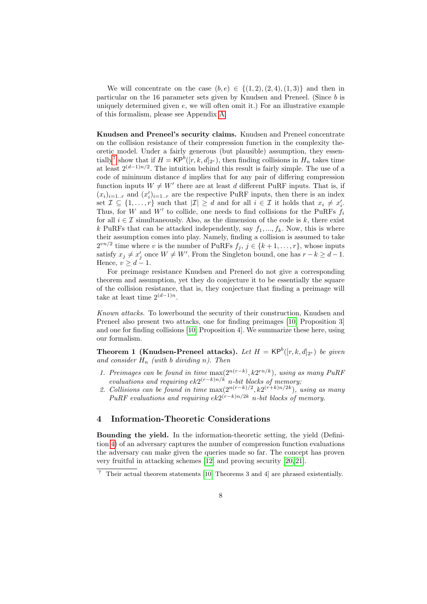We will concentrate on the case  $(b, e) \in \{(1, 2), (2, 4), (1, 3)\}\$  and then in particular on the 16 parameter sets given by Knudsen and Preneel. (Since b is uniquely determined given  $e$ , we will often omit it.) For an illustrative example of this formalism, please see Appendix [A.](#page-19-10)

Knudsen and Preneel's security claims. Knudsen and Preneel concentrate on the collision resistance of their compression function in the complexity theoretic model. Under a fairly generous (but plausible) assumption, they essen-tially<sup>[7](#page-7-2)</sup> show that if  $H = \mathsf{KP}^b([r,k,d]_{2^e})$ , then finding collisions in  $H_n$  takes time at least  $2^{(d-1)n/2}$ . The intuition behind this result is fairly simple. The use of a code of minimum distance  $d$  implies that for any pair of differing compression function inputs  $W \neq W'$  there are at least d different PuRF inputs. That is, if  $(x_i)_{i=1..r}$  and  $(x_i')_{i=1..r}$  are the respective PuRF inputs, then there is an index set  $\mathcal{I} \subseteq \{1, \ldots, r\}$  such that  $|\mathcal{I}| \geq d$  and for all  $i \in \mathcal{I}$  it holds that  $x_i \neq x'_i$ . Thus, for W and  $W'$  to collide, one needs to find collisions for the PuRFs  $f_i$ for all  $i \in \mathcal{I}$  simultaneously. Also, as the dimension of the code is k, there exist k PuRFs that can be attacked independently, say  $f_1, ..., f_k$ . Now, this is where their assumption comes into play. Namely, finding a collision is assumed to take  $2^{vn/2}$  time where v is the number of PuRFs  $f_j$ ,  $j \in \{k+1,\ldots,r\}$ , whose inputs satisfy  $x_j \neq x'_j$  once  $W \neq W'$ . From the Singleton bound, one has  $r - k \geq d - 1$ . Hence,  $v > d - 1$ .

For preimage resistance Knudsen and Preneel do not give a corresponding theorem and assumption, yet they do conjecture it to be essentially the square of the collision resistance, that is, they conjecture that finding a preimage will take at least time  $2^{(d-1)n}$ .

Known attacks. To lowerbound the security of their construction, Knudsen and Preneel also present two attacks, one for finding preimages [\[10,](#page-18-6) Proposition 3] and one for finding collisions [\[10,](#page-18-6) Proposition 4]. We summarize these here, using our formalism.

<span id="page-7-0"></span>**Theorem 1 (Knudsen-Preneel attacks).** Let  $H = \mathsf{KP}^b([r, k, d]_{2^e})$  be given and consider  $H_n$  (with b dividing n). Then

- 1. Preimages can be found in time  $\max(2^{n(r-k)}, k2^{rn/k})$ , using as many PuRF evaluations and requiring  $ek2^{(r-k)n/k}$  n-bit blocks of memory;
- 2. Collisions can be found in time  $\max(2^{n(r-k)/2}, k2^{(r+k)n/2k})$ , using as many PuRF evaluations and requiring  $ek2^{(r-k)n/2k}$  n-bit blocks of memory.

## <span id="page-7-1"></span>4 Information-Theoretic Considerations

Bounding the yield. In the information-theoretic setting, the yield (Definition [4\)](#page-7-3) of an adversary captures the number of compression function evaluations the adversary can make given the queries made so far. The concept has proven very fruitful in attacking schemes [\[12\]](#page-19-11) and proving security [\[20,](#page-19-6) [21\]](#page-19-12).

<span id="page-7-3"></span><span id="page-7-2"></span><sup>7</sup> Their actual theorem statements [\[10,](#page-18-6) Theorems 3 and 4] are phrased existentially.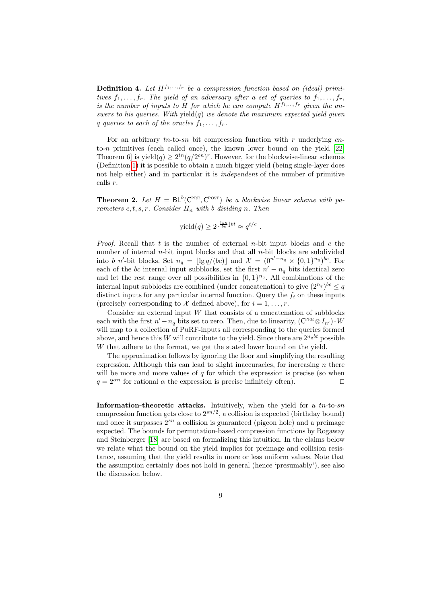**Definition 4.** Let  $H^{f_1,...,f_r}$  be a compression function based on (ideal) primitives  $f_1, \ldots, f_r$ . The yield of an adversary after a set of queries to  $f_1, \ldots, f_r$ , is the number of inputs to H for which he can compute  $H^{f_1,\ldots,f_r}$  given the answers to his queries. With yield(q) we denote the maximum expected yield given q queries to each of the oracles  $f_1, \ldots, f_r$ .

For an arbitrary  $tn$ -to-sn bit compression function with r underlying cnto-n primitives (each called once), the known lower bound on the yield  $[22,$ Theorem 6] is yield $(q) \geq 2^{tn} (q/2^{cn})^r$ . However, for the blockwise-linear schemes (Definition [1\)](#page-4-1) it is possible to obtain a much bigger yield (being single-layer does not help either) and in particular it is independent of the number of primitive calls r.

**Theorem 2.** Let  $H = BL^b(C^{PRE}, C^{POST})$  be a blockwise linear scheme with parameters  $c, t, s, r$ . Consider  $H_n$  with b dividing n. Then

yield
$$
(q) \geq 2^{\lfloor \frac{\lg q}{bc} \rfloor bt} \approx q^{t/c}
$$
.

*Proof.* Recall that t is the number of external n-bit input blocks and c the number of internal  $n$ -bit input blocks and that all  $n$ -bit blocks are subdivided into b n'-bit blocks. Set  $n_q = \lfloor \lg q/(bc) \rfloor$  and  $\mathcal{X} = (0^{n'-n_q} \times \{0,1\}^{n_q})^{bc}$ . For each of the bc internal input subblocks, set the first  $n' - n_q$  bits identical zero and let the rest range over all possibilities in  $\{0,1\}^{n_q}$ . All combinations of the internal input subblocks are combined (under concatenation) to give  $(2^{n_q})^{bc} \leq q$ distinct inputs for any particular internal function. Query the  $f_i$  on these inputs (precisely corresponding to X defined above), for  $i = 1, \ldots, r$ .

Consider an external input  $W$  that consists of a concatenation of subblocks each with the first  $n' - n_q$  bits set to zero. Then, due to linearity,  $(C^{PRE} \otimes I_{n'}) \cdot W$ will map to a collection of PuRF-inputs all corresponding to the queries formed above, and hence this W will contribute to the yield. Since there are  $2^{n_qbt}$  possible W that adhere to the format, we get the stated lower bound on the yield.

The approximation follows by ignoring the floor and simplifying the resulting expression. Although this can lead to slight inaccuracies, for increasing  $n$  there will be more and more values of  $q$  for which the expression is precise (so when  $q = 2^{\alpha n}$  for rational  $\alpha$  the expression is precise infinitely often).

**Information-theoretic attacks.** Intuitively, when the yield for a  $tn$ -to-sn compression function gets close to  $2^{sn/2}$ , a collision is expected (birthday bound) and once it surpasses  $2^{sn}$  a collision is guaranteed (pigeon hole) and a preimage expected. The bounds for permutation-based compression functions by Rogaway and Steinberger [\[18\]](#page-19-14) are based on formalizing this intuition. In the claims below we relate what the bound on the yield implies for preimage and collision resistance, assuming that the yield results in more or less uniform values. Note that the assumption certainly does not hold in general (hence 'presumably'), see also the discussion below.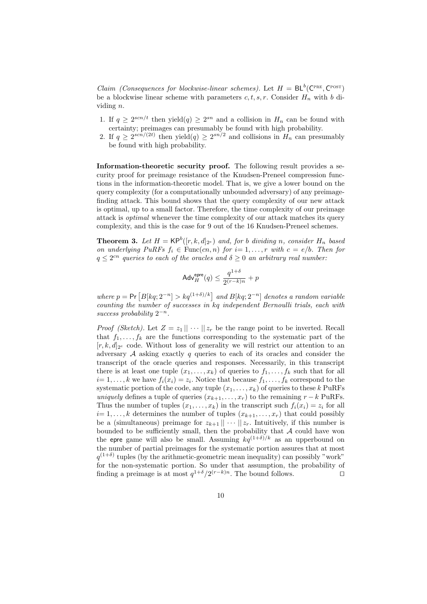Claim (Consequences for blockwise-linear schemes). Let  $H = BL^b(C^{PRE}, C^{POST})$ be a blockwise linear scheme with parameters  $c, t, s, r$ . Consider  $H_n$  with b dividing n.

- 1. If  $q \geq 2^{scn/t}$  then yield $(q) \geq 2^{sn}$  and a collision in  $H_n$  can be found with certainty; preimages can presumably be found with high probability.
- 2. If  $q \geq 2^{scn/(2t)}$  then yield $(q) \geq 2^{sn/2}$  and collisions in  $H_n$  can presumably be found with high probability.

Information-theoretic security proof. The following result provides a security proof for preimage resistance of the Knudsen-Preneel compression functions in the information-theoretic model. That is, we give a lower bound on the query complexity (for a computationally unbounded adversary) of any preimagefinding attack. This bound shows that the query complexity of our new attack is optimal, up to a small factor. Therefore, the time complexity of our preimage attack is optimal whenever the time complexity of our attack matches its query complexity, and this is the case for 9 out of the 16 Knudsen-Preneel schemes.

<span id="page-9-0"></span>**Theorem 3.** Let  $H = \mathsf{KP}^b([r, k, d]_{2^e})$  and, for b dividing n, consider  $H_n$  based on underlying PuRFs  $f_i \in \text{Func}(cn, n)$  for  $i = 1, ..., r$  with  $c = e/b$ . Then for  $q \leq 2^{cn}$  queries to each of the oracles and  $\delta \geq 0$  an arbitrary real number:

$$
\mathsf{Adv}^{\mathsf{epre}}_H(q) \leq \frac{q^{1+\delta}}{2^{(r-k)n}} + p
$$

where  $p = Pr\left[B[kq; 2^{-n}] > kq^{(1+\delta)/k}\right]$  and  $B[kq; 2^{-n}]$  denotes a random variable counting the number of successes in kq independent Bernoulli trials, each with success probability  $2^{-n}$ .

*Proof (Sketch)*. Let  $Z = z_1 || \cdots || z_r$  be the range point to be inverted. Recall that  $f_1, \ldots, f_k$  are the functions corresponding to the systematic part of the  $[r, k, d]_{2^e}$  code. Without loss of generality we will restrict our attention to an adversary  $A$  asking exactly q queries to each of its oracles and consider the transcript of the oracle queries and responses. Necessarily, in this transcript there is at least one tuple  $(x_1, \ldots, x_k)$  of queries to  $f_1, \ldots, f_k$  such that for all  $i=1,\ldots,k$  we have  $f_i(x_i)=z_i$ . Notice that because  $f_1,\ldots,f_k$  correspond to the systematic portion of the code, any tuple  $(x_1, \ldots, x_k)$  of queries to these k PuRFs uniquely defines a tuple of queries  $(x_{k+1},...,x_r)$  to the remaining  $r - k$  PuRFs. Thus the number of tuples  $(x_1, \ldots, x_k)$  in the transcript such  $f_i(x_i) = z_i$  for all  $i=1,\ldots,k$  determines the number of tuples  $(x_{k+1},\ldots,x_r)$  that could possibly be a (simultaneous) preimage for  $z_{k+1} \|\cdots \| z_r$ . Intuitively, if this number is bounded to be sufficiently small, then the probability that  $A$  could have won the epre game will also be small. Assuming  $kq^{(1+\delta)/k}$  as an upperbound on the number of partial preimages for the systematic portion assures that at most  $q^{(1+\delta)}$  tuples (by the arithmetic-geometric mean inequality) can possibly "work" for the non-systematic portion. So under that assumption, the probability of finding a preimage is at most  $q^{1+\delta}/2^{(r-k)n}$ . The bound follows.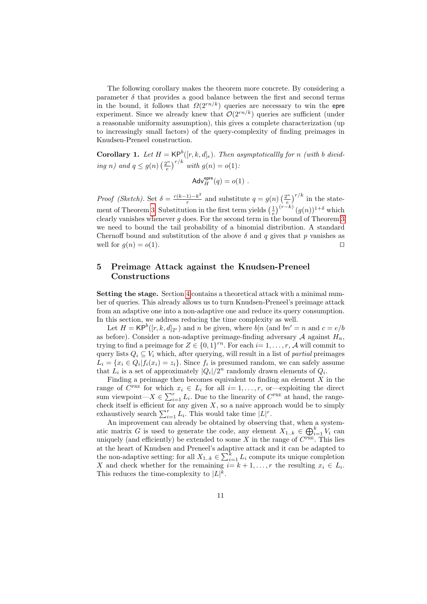The following corollary makes the theorem more concrete. By considering a parameter  $\delta$  that provides a good balance between the first and second terms in the bound, it follows that  $\Omega(2^{rn/k})$  queries are necessary to win the epre experiment. Since we already knew that  $\mathcal{O}(2^{rn/k})$  queries are sufficient (under a reasonable uniformity assumption), this gives a complete characterization (up to increasingly small factors) of the query-complexity of finding preimages in Knudsen-Preneel construction.

**Corollary 1.** Let  $H = \mathsf{KP}^b([r, k, d]_e)$ . Then asymptoticallly for n (with b dividing n) and  $q \leq g(n) \left(\frac{2^n}{e}\right)$  $\frac{e^{n}}{e}$ <sup>r/k</sup> with  $g(n) = o(1)$ :

$$
\mathsf{Adv}^{\mathsf{epre}}_H(q) = o(1) \ .
$$

Proof (Sketch). Set  $\delta = \frac{r(k-1)-k^2}{r}$  $\frac{1}{r}e^{-\frac{1}{2}}$  and substitute  $q = g(n)\left(\frac{2^n}{e}\right)$  $\left(\frac{e^{n}}{e}\right)^{r/k}$  in the state-ment of Theorem [3.](#page-9-0) Substitution in the first term yields  $\left(\frac{1}{e}\right)^{(r-k)} (g(n))^{1+\delta}$  which clearly vanishes whenever  $q$  does. For the second term in the bound of Theorem [3](#page-9-0) we need to bound the tail probability of a binomial distribution. A standard Chernoff bound and substitution of the above  $\delta$  and q gives that p vanishes as well for  $g(n) = o(1)$ .

## <span id="page-10-0"></span>5 Preimage Attack against the Knudsen-Preneel Constructions

Setting the stage. Section [4](#page-7-1) contains a theoretical attack with a minimal number of queries. This already allows us to turn Knudsen-Preneel's preimage attack from an adaptive one into a non-adaptive one and reduce its query consumption. In this section, we address reducing the time complexity as well.

Let  $H = \mathsf{KP}^b([r, k, d]_{2^e})$  and n be given, where  $b|n$  (and  $bn' = n$  and  $c = e/b$ as before). Consider a non-adaptive preimage-finding adversary  $A$  against  $H_n$ , trying to find a preimage for  $Z \in \{0,1\}^{rn}$ . For each  $i=1,\ldots,r$ , A will commit to query lists  $Q_i \subseteq V_i$  which, after querying, will result in a list of *partial* preimages  $L_i = \{x_i \in Q_i | f_i(x_i) = z_i\}.$  Since  $f_i$  is presumed random, we can safely assume that  $L_i$  is a set of approximately  $|Q_i|/2^n$  randomly drawn elements of  $Q_i$ .

Finding a preimage then becomes equivalent to finding an element  $X$  in the range of  $C^{PRE}$  for which  $x_i \in L_i$  for all  $i=1,\ldots,r$ , or exploiting the direct sum viewpoint— $X \in \sum_{i=1}^r L_i$ . Due to the linearity of  $C^{PRE}$  at hand, the rangecheck itself is efficient for any given  $X$ , so a naive approach would be to simply exhaustively search  $\sum_{i=1}^{r} L_i$ . This would take time  $|L|^r$ .

An improvement can already be obtained by observing that, when a systematic matrix G is used to generate the code, any element  $X_{1..k} \in \bigoplus_{i=1}^k V_i$  can uniquely (and efficiently) be extended to some X in the range of  $C^{PRE}$ . This lies at the heart of Knudsen and Preneel's adaptive attack and it can be adapted to the non-adaptive setting: for all  $X_{1..k} \in \sum_{i=1}^{k} L_i$  compute its unique completion X and check whether for the remaining  $i=k+1,\ldots,r$  the resulting  $x_i \in L_i$ . This reduces the time-complexity to  $|L|^k$ .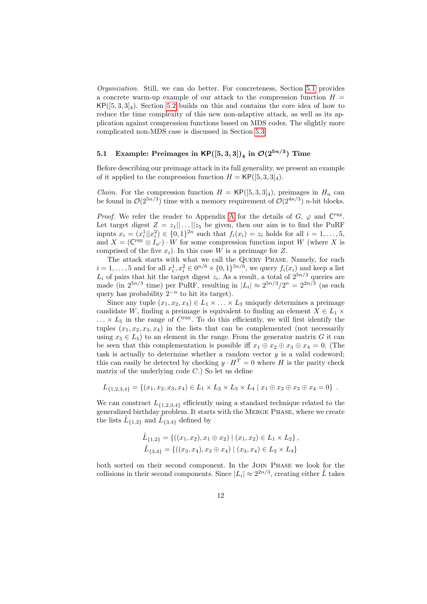Organization. Still, we can do better. For concreteness, Section [5.1](#page-11-0) provides a concrete warm-up example of our attack to the compression function  $H =$  $KP([5,3,3]_4)$ . Section [5.2](#page-12-0) builds on this and contains the core idea of how to reduce the time complexity of this new non-adaptive attack, as well as its application against compression functions based on MDS codes. The slightly more complicated non-MDS case is discussed in Section [5.3.](#page-15-0)

## <span id="page-11-0"></span>5.1 Example: Preimages in  $\mathsf{KP}([5,3,3])_4$  in  $\mathcal{O}(2^{5n/3})$  Time

Before describing our preimage attack in its full generality, we present an example of it applied to the compression function  $H = \mathsf{KP}([5,3,3]_4)$ .

*Claim.* For the compression function  $H = \mathsf{KP}([5, 3, 3]_4)$ , preimages in  $H_n$  can be found in  $\mathcal{O}(2^{5n/3})$  time with a memory requirement of  $\mathcal{O}(2^{4n/3})$  *n*-bit blocks.

*Proof.* We refer the reader to [A](#page-19-10)ppendix A for the details of  $G$ ,  $\varphi$  and  $C^{PRE}$ . Let target digest  $Z = z_1 || \dots || z_5$  be given, then our aim is to find the PuRF inputs  $x_i = (x_i^1 || x_i^2) \in \{0, 1\}^{2n}$  such that  $f_i(x_i) = z_i$  holds for all  $i = 1, ..., 5$ , and  $X = (\mathbb{C}^{\text{PRE}} \otimes I_{n'}) \cdot W$  for some compression function input W (where X is comprised of the five  $x_i$ ). In this case W is a preimage for Z.

The attack starts with what we call the Query Phase. Namely, for each  $i = 1, \ldots, 5$  and for all  $x_i^1, x_i^2 \in 0^{n/6} \times \{0, 1\}^{5n/6}$ , we query  $f_i(x_i)$  and keep a list  $L_i$  of pairs that hit the target digest  $z_i$ . As a result, a total of  $2^{5n/3}$  queries are made (in  $2^{5n/3}$  time) per PuRF, resulting in  $|L_i| \approx 2^{5n/3}/2^n = 2^{2n/3}$  (as each query has probability  $2^{-n}$  to hit its target).

Since any tuple  $(x_1, x_2, x_3) \in L_1 \times \ldots \times L_3$  uniquely determines a preimage candidate W, finding a preimage is equivalent to finding an element  $X \in L_1 \times$  $\ldots \times L_5$  in the range of  $C^{PRE}$ . To do this efficiently, we will first identify the tuples  $(x_1, x_2, x_3, x_4)$  in the lists that can be complemented (not necessarily using  $x_5 \in L_5$ ) to an element in the range. From the generator matrix G it can be seen that this complementation is possible iff  $x_1 \oplus x_2 \oplus x_3 \oplus x_4 = 0$ . (The task is actually to determine whether a random vector  $y$  is a valid codeword; this can easily be detected by checking  $y \cdot H^T = 0$  where H is the parity check matrix of the underlying code  $C$ .) So let us define

$$
L_{\{1,2,3,4\}} = \{(x_1,x_2,x_3,x_4) \in L_1 \times L_2 \times L_3 \times L_4 \mid x_1 \oplus x_2 \oplus x_3 \oplus x_4 = 0\}.
$$

We can construct  $L_{\{1,2,3,4\}}$  efficiently using a standard technique related to the generalized birthday problem. It starts with the Merge Phase, where we create the lists  $\tilde{L}_{\{1,2\}}$  and  $\tilde{L}_{\{3,4\}}$  defined by

$$
\tilde{L}_{\{1,2\}} = \{ ((x_1, x_2), x_1 \oplus x_2) \mid (x_1, x_2) \in L_1 \times L_2 \}, \n\tilde{L}_{\{3,4\}} = \{ ((x_3, x_4), x_3 \oplus x_4) \mid (x_3, x_4) \in L_3 \times L_4 \}
$$

both sorted on their second component. In the Join Phase we look for the collisions in their second components. Since  $|L_i| \approx 2^{2n/3}$ , creating either  $\tilde{L}$  takes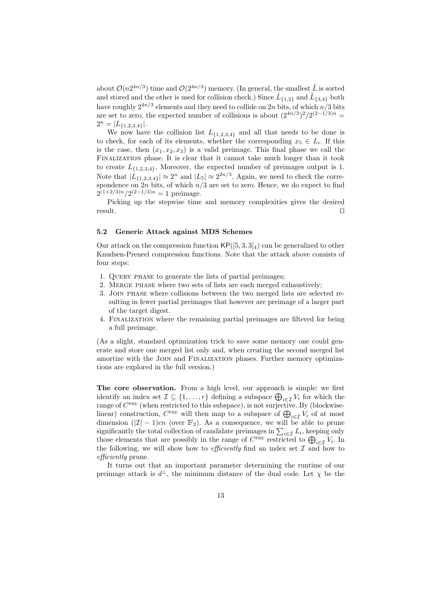about  $\mathcal{O}(n2^{4n/3})$  time and  $\mathcal{O}(2^{4n/3})$  memory. (In general, the smallest  $\tilde{L}$  is sorted and stored and the other is used for collision check.) Since  $\tilde{L}_{\{1,2\}}$  and  $\tilde{L}_{\{3,4\}}$  both have roughly  $2^{4n/3}$  elements and they need to collide on  $2n$  bits, of which  $n/3$  bits are set to zero, the expected number of collisions is about  $(2^{4n/3})^2/2^{(2-1/3)n}$  $2^n = |L_{\{1,2,3,4\}}|.$ 

We now have the collision list  $L_{\{1,2,3,4\}}$  and all that needs to be done is to check, for each of its elements, whether the corresponding  $x_5 \in L_i$ . If this is the case, then  $(x_1, x_2, x_3)$  is a valid preimage. This final phase we call the Finalization phase. It is clear that it cannot take much longer than it took to create  $L_{\{1,2,3,4\}}$ . Moreover, the expected number of preimages output is 1. Note that  $|L_{\{1,2,3,4\}}| \approx 2^n$  and  $|L_5| \approx 2^{2n/3}$ . Again, we need to check the correspondence on 2n bits, of which  $n/3$  are set to zero. Hence, we do expect to find  $2^{(1+2/3)n}/2^{(2-1/3)n} = 1$  preimage.

Picking up the stepwise time and memory complexities gives the desired  $\Box$  result.

#### <span id="page-12-0"></span>5.2 Generic Attack against MDS Schemes

Our attack on the compression function  $\mathsf{KP}([5,3,3]_4)$  can be generalized to other Knudsen-Preneel compression functions. Note that the attack above consists of four steps:

- 1. Query phase to generate the lists of partial preimages;
- 2. Merge phase where two sets of lists are each merged exhaustively;
- 3. Join phase where collisions between the two merged lists are selected resulting in fewer partial preimages that however are preimage of a larger part of the target digest.
- 4. Finalization where the remaining partial preimages are filtered for being a full preimage.

(As a slight, standard optimization trick to save some memory one could generate and store one merged list only and, when creating the second merged list amortize with the Join and Finalization phases. Further memory optimizations are explored in the full version.)

The core observation. From a high level, our approach is simple: we first identify an index set  $\mathcal{I} \subseteq \{1, ..., r\}$  defining a subspace  $\bigoplus_{i \in \mathcal{I}} V_i$  for which the range of  $C^{PRE}$  (when restricted to this subspace), is not surjective. By (blockwiselinear) construction,  $C^{PRE}$  will then map to a subspace of  $\bigoplus_{i\in\mathcal{I}}V_i$  of at most dimension  $(|\mathcal{I}| - 1)cn$  (over  $\mathbb{F}_2$ ). As a consequence, we will be able to prune significantly the total collection of candidate preimages in  $\sum_{i \in \mathcal{I}} L_i$ , keeping only those elements that are possibly in the range of  $C^{PRE}$  restricted to  $\bigoplus_{i\in\mathcal{I}}V_i$ . In the following, we will show how to *efficiently* find an index set  $\mathcal I$  and how to efficiently prune.

It turns out that an important parameter determining the runtime of our preimage attack is  $d^{\perp}$ , the minimum distance of the dual code. Let  $\chi$  be the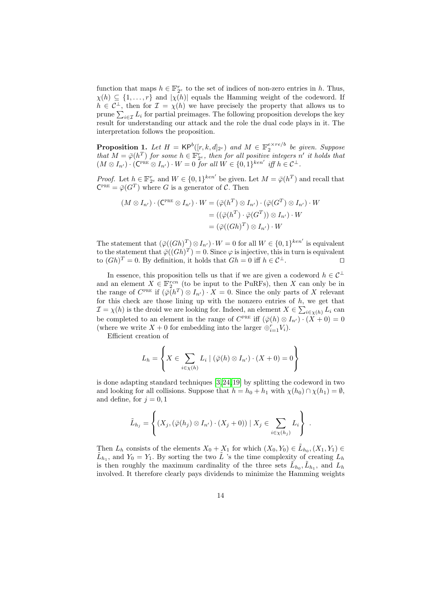function that maps  $h \in \mathbb{F}_{2^e}^r$  to the set of indices of non-zero entries in h. Thus,  $\chi(h) \subseteq \{1, \ldots, r\}$  and  $|\chi(h)|$  equals the Hamming weight of the codeword. If  $h \in C^{\perp}$ , then for  $\mathcal{I} = \chi(h)$  we have precisely the property that allows us to prune  $\sum_{i\in\mathcal{I}}L_i$  for partial preimages. The following proposition develops the key result for understanding our attack and the role the dual code plays in it. The interpretation follows the proposition.

**Proposition 1.** Let  $H = \mathsf{KP}^b([r,k,d]_{2^e})$  and  $M \in \mathbb{F}_2^{e \times re/b}$  be given. Suppose that  $M = \bar{\varphi}(h^T)$  for some  $h \in \mathbb{F}_{2^e}^r$ , then for all positive integers n' it holds that  $(M \otimes I_{n'}) \cdot (\mathsf{C}^{\text{PRE}} \otimes I_{n'}) \cdot W = 0 \text{ for all } W \in \{0,1\}^{ken'} \text{ iff } h \in \mathcal{C}^{\perp}.$ 

*Proof.* Let  $h \in \mathbb{F}_{2^e}^r$  and  $W \in \{0,1\}^{ken'}$  be given. Let  $M = \overline{\varphi}(h^T)$  and recall that  $\mathsf{C}^{\text{\tiny PRE}} = \overline{\varphi}(G^T)$  where G is a generator of C. Then

$$
(M \otimes I_{n'}) \cdot (\mathsf{C}^{\text{PRE}} \otimes I_{n'}) \cdot W = (\bar{\varphi}(h^T) \otimes I_{n'}) \cdot (\bar{\varphi}(G^T) \otimes I_{n'}) \cdot W
$$
  

$$
= ((\bar{\varphi}(h^T) \cdot \bar{\varphi}(G^T)) \otimes I_{n'}) \cdot W
$$
  

$$
= (\bar{\varphi}((Gh)^T) \otimes I_{n'}) \cdot W
$$

The statement that  $(\bar{\varphi}((Gh)^T) \otimes I_{n'}) \cdot W = 0$  for all  $W \in \{0,1\}^{ken'}$  is equivalent to the statement that  $\bar{\varphi}((Gh)^T) = 0$ . Since  $\varphi$  is injective, this in turn is equivalent to  $( Gh)^{T} = 0$ . By definition, it holds that  $Gh = 0$  iff  $h \in \mathcal{C}^{\perp}$ .

In essence, this proposition tells us that if we are given a codeword  $h \in C^{\perp}$ and an element  $X \in \mathbb{F}_2^{rcn}$  (to be input to the PuRFs), then X can only be in the range of  $C^{PRE}$  if  $(\bar{\varphi}(h^T) \otimes I_{n'}) \cdot X = 0$ . Since the only parts of X relevant for this check are those lining up with the nonzero entries of  $h$ , we get that  $\mathcal{I} = \chi(h)$  is the droid we are looking for. Indeed, an element  $X \in \sum_{i \in \chi(h)} L_i$  can be completed to an element in the range of  $C^{PRE}$  iff  $(\bar{\varphi}(h) \otimes I_{n'}) \cdot (X+0) = 0$ (where we write  $X + 0$  for embedding into the larger  $\bigoplus_{i=1}^{r} V_i$ ).

Efficient creation of

$$
L_h = \left\{ X \in \sum_{i \in \chi(h)} L_i \mid (\bar{\varphi}(h) \otimes I_{n'}) \cdot (X + 0) = 0 \right\}
$$

is done adapting standard techniques [\[3,](#page-18-7) [24,](#page-19-7) [19\]](#page-19-8) by splitting the codeword in two and looking for all collisions. Suppose that  $h = h_0 + h_1$  with  $\chi(h_0) \cap \chi(h_1) = \emptyset$ , and define, for  $j = 0, 1$ 

$$
\tilde{L}_{h_j} = \left\{ (X_j, (\bar{\varphi}(h_j) \otimes I_{n'}) \cdot (X_j + 0)) \mid X_j \in \sum_{i \in \chi(h_j)} L_i \right\}.
$$

Then  $L_h$  consists of the elements  $X_0 + X_1$  for which  $(X_0, Y_0) \in \tilde{L}_{h_0}$ ,  $(X_1, Y_1) \in$  $\tilde{L}_{h_1}$ , and  $Y_0 = Y_1$ . By sorting the two  $\tilde{L}$  's the time complexity of creating  $L_h$ is then roughly the maximum cardinality of the three sets  $\tilde{L}_{h_0}, \tilde{L}_{h_1}$ , and  $L_h$ involved. It therefore clearly pays dividends to minimize the Hamming weights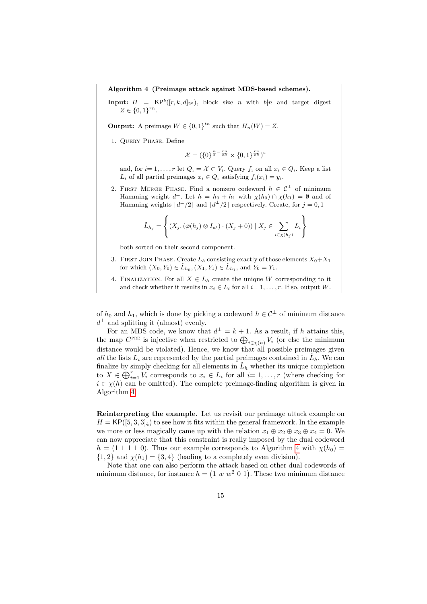<span id="page-14-0"></span>Algorithm 4 (Preimage attack against MDS-based schemes).

**Input:**  $H = \mathsf{KP}^b([r, k, d]_{2^e}),$  block size n with  $b|n$  and target digest  $Z \in \{0,1\}^{rn}$ .

**Output:** A preimage  $W \in \{0,1\}^{tn}$  such that  $H_n(W) = Z$ .

1. Query Phase. Define

$$
\mathcal{X} = (\{0\}^{\frac{n}{b} - \frac{rn}{ek}} \times \{0, 1\}^{\frac{rn}{ek}})^e
$$

and, for  $i=1,\ldots,r$  let  $Q_i = \mathcal{X} \subset V_i$ . Query  $f_i$  on all  $x_i \in Q_i$ . Keep a list  $L_i$  of all partial preimages  $x_i \in Q_i$  satisfying  $f_i(x_i) = y_i$ .

2. FIRST MERGE PHASE. Find a nonzero codeword  $h \in C^{\perp}$  of minimum Hamming weight  $d^{\perp}$ . Let  $h = h_0 + h_1$  with  $\chi(h_0) \cap \chi(h_1) = \emptyset$  and of Hamming weights  $\lfloor d^{\perp}/2 \rfloor$  and  $\lfloor d^{\perp}/2 \rfloor$  respectively. Create, for  $j = 0, 1$ 

$$
\tilde{L}_{h_j} = \left\{ (X_j, (\bar{\varphi}(h_j) \otimes I_{n'}) \cdot (X_j + 0)) \mid X_j \in \sum_{i \in \chi(h_j)} L_i \right\}
$$

both sorted on their second component.

- 3. FIRST JOIN PHASE. Create  $L_h$  consisting exactly of those elements  $X_0+X_1$ for which  $(X_0, Y_0) \in \tilde{L}_{h_0}, (X_1, Y_1) \in \tilde{L}_{h_1}$ , and  $Y_0 = Y_1$ .
- 4. FINALIZATION. For all  $X \in L_h$  create the unique W corresponding to it and check whether it results in  $x_i \in L_i$  for all  $i=1,\ldots,r$ . If so, output W.

of  $h_0$  and  $h_1$ , which is done by picking a codeword  $h \in C^{\perp}$  of minimum distance  $d^{\perp}$  and splitting it (almost) evenly.

For an MDS code, we know that  $d^{\perp} = k + 1$ . As a result, if h attains this, the map  $C^{PRE}$  is injective when restricted to  $\bigoplus_{i\in\chi(h)}V_i$  (or else the minimum distance would be violated). Hence, we know that all possible preimages given all the lists  $L_i$  are represented by the partial preimages contained in  $\tilde{L}_h$ . We can finalize by simply checking for all elements in  $\tilde{L}_h$  whether its unique completion to  $X \in \bigoplus_{i=1}^r V_i$  corresponds to  $x_i \in L_i$  for all  $i=1,\ldots,r$  (where checking for  $i \in \chi(h)$  can be omitted). The complete preimage-finding algorithm is given in Algorithm [4.](#page-14-0)

Reinterpreting the example. Let us revisit our preimage attack example on  $H = \mathsf{KP}([5, 3, 3]_4)$  to see how it fits within the general framework. In the example we more or less magically came up with the relation  $x_1 \oplus x_2 \oplus x_3 \oplus x_4 = 0$ . We can now appreciate that this constraint is really imposed by the dual codeword  $h = (1 \ 1 \ 1 \ 1 \ 0)$ . Thus our example corresponds to Algorithm [4](#page-14-0) with  $\chi(h_0) =$  $\{1,2\}$  and  $\chi(h_1) = \{3,4\}$  (leading to a completely even division).

Note that one can also perform the attack based on other dual codewords of minimum distance, for instance  $h = (1 \ w \ w^2 \ 0 \ 1)$ . These two minimum distance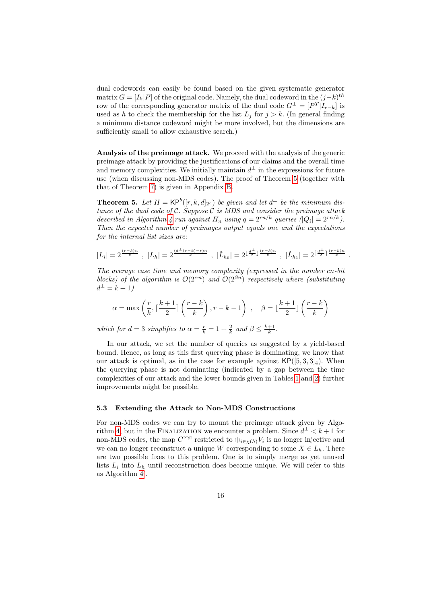dual codewords can easily be found based on the given systematic generator matrix  $G = [I_k | P]$  of the original code. Namely, the dual codeword in the  $(j-k)^{th}$ row of the corresponding generator matrix of the dual code  $G^{\perp} = [P^T | I_{r-k}]$  is used as h to check the membership for the list  $L_j$  for  $j > k$ . (In general finding a minimum distance codeword might be more involved, but the dimensions are sufficiently small to allow exhaustive search.)

Analysis of the preimage attack. We proceed with the analysis of the generic preimage attack by providing the justifications of our claims and the overall time and memory complexities. We initially maintain  $d^{\perp}$  in the expressions for future use (when discussing non-MDS codes). The proof of Theorem [5](#page-15-1) (together with that of Theorem [7\)](#page-17-0) is given in Appendix [B.](#page-20-0)

<span id="page-15-1"></span>**Theorem 5.** Let  $H = \mathsf{KP}^b([r, k, d]_{2^e})$  be given and let  $d^{\perp}$  be the minimum distance of the dual code of  $\mathcal{C}$ . Suppose  $\mathcal{C}$  is MDS and consider the preimage attack described in Algorithm [4](#page-14-0) run against  $H_n$  using  $q = 2^{rn/k}$  queries  $(|Q_i| = 2^{rn/k})$ . Then the expected number of preimages output equals one and the expectations for the internal list sizes are:

$$
|L_i| = 2^{\frac{(r-k)n}{k}}, |L_h| = 2^{\frac{(d^{\perp}(r-k)-r)n}{k}}, |\tilde{L}_{h_0}| = 2^{\lfloor \frac{d^{\perp}}{2} \rfloor \frac{(r-k)n}{k}}, |\tilde{L}_{h_1}| = 2^{\lceil \frac{d^{\perp}}{2} \rceil \frac{(r-k)n}{k}}.
$$

The average case time and memory complexity (expressed in the number cn-bit blocks) of the algorithm is  $\mathcal{O}(2^{an})$  and  $\mathcal{O}(2^{\beta n})$  respectively where (substituting  $d^{\perp} = k + 1$ 

$$
\alpha = \max \left(\frac{r}{k}, \lceil \frac{k+1}{2} \rceil\left(\frac{r-k}{k}\right), r-k-1\right) , \quad \beta = \lfloor \frac{k+1}{2} \rfloor\left(\frac{r-k}{k}\right)
$$

which for  $d = 3$  simplifies to  $\alpha = \frac{r}{k} = 1 + \frac{2}{k}$  and  $\beta \le \frac{k+1}{k}$ .

In our attack, we set the number of queries as suggested by a yield-based bound. Hence, as long as this first querying phase is dominating, we know that our attack is optimal, as in the case for example against  $\mathsf{KP}([5,3,3]_4)$ . When the querying phase is not dominating (indicated by a gap between the time complexities of our attack and the lower bounds given in Tables [1](#page-2-1) and [2\)](#page-3-0) further improvements might be possible.

#### <span id="page-15-0"></span>5.3 Extending the Attack to Non-MDS Constructions

For non-MDS codes we can try to mount the preimage attack given by Algo-rithm [4,](#page-14-0) but in the FINALIZATION we encounter a problem. Since  $d^{\perp} < k+1$  for non-MDS codes, the map  $C^{PRE}$  restricted to  $\bigoplus_{i \in \chi(h)} V_i$  is no longer injective and we can no longer reconstruct a unique W corresponding to some  $X \in L_h$ . There are two possible fixes to this problem. One is to simply merge as yet unused lists  $L_i$  into  $L_h$  until reconstruction does become unique. We will refer to this as Algorithm  $4'$ .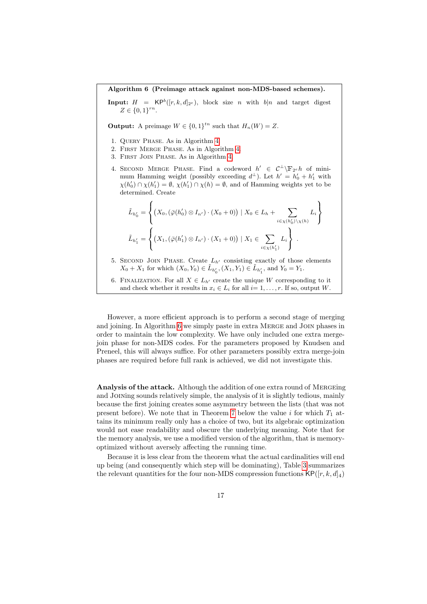<span id="page-16-0"></span>Algorithm 6 (Preimage attack against non-MDS-based schemes).

**Input:**  $H = \mathsf{KP}^b([r, k, d]_{2^e}),$  block size n with  $b|n$  and target digest  $Z \in \{0,1\}^{rn}$ .

**Output:** A preimage  $W \in \{0,1\}^{tn}$  such that  $H_n(W) = Z$ .

- 1. Query Phase. As in Algorithm [4.](#page-14-0)
- 2. First Merge Phase. As in Algorithm [4.](#page-14-0)
- 3. First Join Phase. As in Algorithm [4.](#page-14-0)
- 4. SECOND MERGE PHASE. Find a codeword  $h' \in C^{\perp}\backslash \mathbb{F}_{2^e}h$  of minimum Hamming weight (possibly exceeding  $d^{\perp}$ ). Let  $h' = h'_0 + h'_1$  with  $\chi(h'_0) \cap \chi(h'_1) = \emptyset$ ,  $\chi(h'_1) \cap \chi(h) = \emptyset$ , and of Hamming weights yet to be determined. Create

$$
\tilde{L}_{h'_0} = \left\{ (X_0, (\bar{\varphi}(h'_0) \otimes I_{n'}) \cdot (X_0 + 0)) \mid X_0 \in L_h + \sum_{i \in \chi(h'_0) \setminus \chi(h)} L_i \right\}
$$
\n
$$
\tilde{L}_{h'_1} = \left\{ (X_1, (\bar{\varphi}(h'_1) \otimes I_{n'}) \cdot (X_1 + 0)) \mid X_1 \in \sum_{i \in \chi(h'_1)} L_i \right\}.
$$

- 5. SECOND JOIN PHASE. Create  $L_{h'}$  consisting exactly of those elements  $X_0 + X_1$  for which  $(X_0, Y_0) \in \tilde{L}_{h'_0}, (X_1, Y_1) \in \tilde{L}_{h'_1}$ , and  $Y_0 = Y_1$ .
- 6. FINALIZATION. For all  $X \in L_{h'}$  create the unique W corresponding to it and check whether it results in  $x_i \in L_i$  for all  $i=1,\ldots,r$ . If so, output W.

However, a more efficient approach is to perform a second stage of merging and joining. In Algorithm [6](#page-16-0) we simply paste in extra Merge and Join phases in order to maintain the low complexity. We have only included one extra mergejoin phase for non-MDS codes. For the parameters proposed by Knudsen and Preneel, this will always suffice. For other parameters possibly extra merge-join phases are required before full rank is achieved, we did not investigate this.

Analysis of the attack. Although the addition of one extra round of MERGEing and Joining sounds relatively simple, the analysis of it is slightly tedious, mainly because the first joining creates some asymmetry between the lists (that was not present before). We note that in Theorem [7](#page-17-0) below the value i for which  $T_1$  attains its minimum really only has a choice of two, but its algebraic optimization would not ease readability and obscure the underlying meaning. Note that for the memory analysis, we use a modified version of the algorithm, that is memoryoptimized without aversely affecting the running time.

Because it is less clear from the theorem what the actual cardinalities will end up being (and consequently which step will be dominating), Table [3](#page-17-1) summarizes the relevant quantities for the four non-MDS compression functions  $\mathsf{KP}([r,k,d]_4)$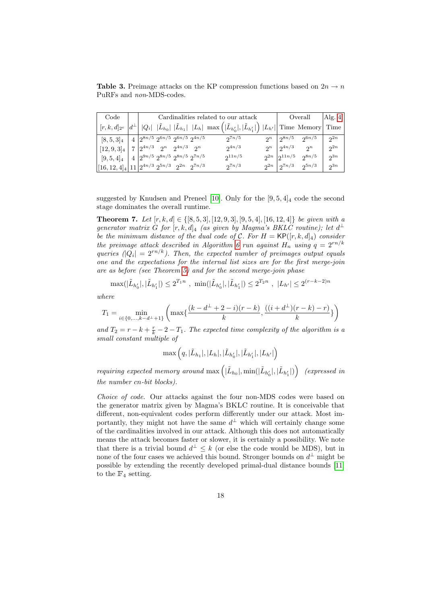<span id="page-17-1"></span>**Table 3.** Preimage attacks on the KP compression functions based on  $2n \rightarrow n$ PuRFs and non-MDS-codes.

| Code                                                                                                 |      | Cardinalities related to our attack |  |                                                                                              |  | Overall                                                                                                          |            | $\text{Alg. } 4'$    |                                |          |
|------------------------------------------------------------------------------------------------------|------|-------------------------------------|--|----------------------------------------------------------------------------------------------|--|------------------------------------------------------------------------------------------------------------------|------------|----------------------|--------------------------------|----------|
| $[r,k,d]_{2^e}$                                                                                      |      |                                     |  |                                                                                              |  | $ Q_i $ $ \tilde{L}_{h_0} $ $ \tilde{L}_{h_1} $ $ L_h $ $\max\left( \tilde{L}_{h'_0} , \tilde{L}_{h'_1} \right)$ | $ L_{h'} $ |                      | Time Memory                    | Time     |
| $[8, 5, 3]_4$                                                                                        | $+4$ |                                     |  | $2^{8n/5} 2^{6n/5} 2^{6n/5} 2^{4n/5}$                                                        |  | $2^{7n/5}$                                                                                                       |            | $2^n \mid 2^{8n/5}$  | 26n/5                          | $2^{2n}$ |
| $[12, 9, 3]_4$                                                                                       |      |                                     |  | $7\left 2^{4n/3}\right 2^n\right 2^{4n/3}$ 2 <sup>n</sup>                                    |  | $2^{4n/3}$                                                                                                       |            | $2^n \mid 2^{4n/3}$  | 2n                             | 2n       |
| $[9, 5, 4]_4$                                                                                        |      |                                     |  | $4\left\lfloor 2^{9n/5} \right\rfloor 2^{8n/5} \left\lfloor 2^{8n/5} \right\rfloor 2^{7n/5}$ |  | $2^{11n/5}$                                                                                                      |            | $2^{2n}$ $2^{11n/5}$ | $2^{8n/5}$                     | $2^{3n}$ |
| $\begin{array}{ccc}  [16,12,4]_4 \big  11 \big  2^{4n/3} \ 2^{5n/3} & 2^{2n} & 2^{7n/3} \end{array}$ |      |                                     |  |                                                                                              |  | $2^{7n/3}$                                                                                                       |            |                      | $2^{2n}$ $2^{7n/3}$ $2^{5n/3}$ | $2^{3n}$ |

suggested by Knudsen and Preneel [\[10\]](#page-18-6). Only for the  $[9, 5, 4]_4$  code the second stage dominates the overall runtime.

<span id="page-17-0"></span>**Theorem 7.** Let  $[r, k, d] \in \{[8, 5, 3], [12, 9, 3], [9, 5, 4], [16, 12, 4]\}$  be given with a generator matrix G for  $[r, k, d]_4$  (as given by Magma's BKLC routine); let  $d^{\perp}$ be the minimum distance of the dual code of C. For  $H = \mathsf{KP}([r, k, d]_4)$  consider the preimage attack described in Algorithm [6](#page-16-0) run against  $H_n$  using  $q = 2^{rn/k}$ queries  $||Q_i|| = 2^{rn/k}$ ). Then, the expected number of preimages output equals one and the expectations for the internal list sizes are for the first merge-join are as before (see Theorem [5\)](#page-15-1) and for the second merge-join phase

$$
\max(|\tilde{L}_{h'_0}|,|\tilde{L}_{h'_1}|) \le 2^{T_1 n}, \ \min(|\tilde{L}_{h'_0}|,|\tilde{L}_{h'_1}|) \le 2^{T_2 n}, \ |L_{h'}| \le 2^{(r-k-2)n}
$$

where

$$
T_1 = \min_{i \in \{0, \dots, k-d^{\perp}+1\}} \left( \max\{ \frac{(k-d^{\perp}+2-i)(r-k)}{k}, \frac{((i+d^{\perp})(r-k)-r)}{k} \} \right)
$$

and  $T_2 = r - k + \frac{r}{k} - 2 - T_1$ . The expected time complexity of the algorithm is a small constant multiple of

$$
\max\left(q, |\tilde{L}_{h_1}|, |L_h|, |\tilde{L}_{h_0'}|, |\tilde{L}_{h_1'}|, |L_{h'}|\right)
$$

requiring expected memory around  $\max\left(|\tilde{L}_{h_0}|,\min(|\tilde{L}_{h'_0}|,|\tilde{L}_{h'_1}|)\right)$  (expressed in the number cn-bit blocks).

Choice of code. Our attacks against the four non-MDS codes were based on the generator matrix given by Magma's BKLC routine. It is conceivable that different, non-equivalent codes perform differently under our attack. Most importantly, they might not have the same  $d^{\perp}$  which will certainly change some of the cardinalities involved in our attack. Although this does not automatically means the attack becomes faster or slower, it is certainly a possibility. We note that there is a trivial bound  $d^{\perp} \leq k$  (or else the code would be MDS), but in none of the four cases we achieved this bound. Stronger bounds on  $d^{\perp}$  might be possible by extending the recently developed primal-dual distance bounds [\[11\]](#page-18-9) to the  $\mathbb{F}_4$  setting.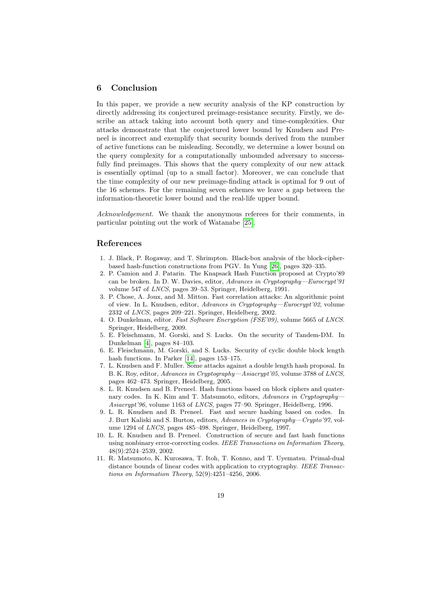#### 6 Conclusion

In this paper, we provide a new security analysis of the KP construction by directly addressing its conjectured preimage-resistance security. Firstly, we describe an attack taking into account both query and time-complexities. Our attacks demonstrate that the conjectured lower bound by Knudsen and Preneel is incorrect and exemplify that security bounds derived from the number of active functions can be misleading. Secondly, we determine a lower bound on the query complexity for a computationally unbounded adversary to successfully find preimages. This shows that the query complexity of our new attack is essentially optimal (up to a small factor). Moreover, we can conclude that the time complexity of our new preimage-finding attack is optimal for 9 out of the 16 schemes. For the remaining seven schemes we leave a gap between the information-theoretic lower bound and the real-life upper bound.

Acknowledgement. We thank the anonymous referees for their comments, in particular pointing out the work of Watanabe [\[25\]](#page-19-5).

#### References

- <span id="page-18-0"></span>1. J. Black, P. Rogaway, and T. Shrimpton. Black-box analysis of the block-cipherbased hash-function constructions from PGV. In Yung [\[26\]](#page-19-15), pages 320–335.
- <span id="page-18-8"></span>2. P. Camion and J. Patarin. The Knapsack Hash Function proposed at Crypto'89 can be broken. In D. W. Davies, editor, Advances in Cryptography—Eurocrypt'91 volume 547 of LNCS, pages 39–53. Springer, Heidelberg, 1991.
- <span id="page-18-7"></span>3. P. Chose, A. Joux, and M. Mitton. Fast correlation attacks: An algorithmic point of view. In L. Knudsen, editor, Advances in Cryptography—Eurocrypt'02, volume 2332 of LNCS, pages 209–221. Springer, Heidelberg, 2002.
- <span id="page-18-10"></span>4. O. Dunkelman, editor. Fast Software Encryption (FSE'09), volume 5665 of LNCS. Springer, Heidelberg, 2009.
- <span id="page-18-1"></span>5. E. Fleischmann, M. Gorski, and S. Lucks. On the security of Tandem-DM. In Dunkelman [\[4\]](#page-18-10), pages 84–103.
- <span id="page-18-2"></span>6. E. Fleischmann, M. Gorski, and S. Lucks. Security of cyclic double block length hash functions. In Parker [\[14\]](#page-19-16), pages 153–175.
- <span id="page-18-3"></span>7. L. Knudsen and F. Muller. Some attacks against a double length hash proposal. In B. K. Roy, editor, Advances in Cryptography—Asiacrypt'05, volume 3788 of LNCS, pages 462–473. Springer, Heidelberg, 2005.
- <span id="page-18-4"></span>8. L. R. Knudsen and B. Preneel. Hash functions based on block ciphers and quaternary codes. In K. Kim and T. Matsumoto, editors, Advances in Cryptography-Asiacrypt'96, volume 1163 of LNCS, pages 77–90. Springer, Heidelberg, 1996.
- <span id="page-18-5"></span>9. L. R. Knudsen and B. Preneel. Fast and secure hashing based on codes. In J. Burt Kaliski and S. Burton, editors, Advances in Cryptography—Crypto'97, volume 1294 of LNCS, pages 485–498. Springer, Heidelberg, 1997.
- <span id="page-18-6"></span>10. L. R. Knudsen and B. Preneel. Construction of secure and fast hash functions using nonbinary error-correcting codes. IEEE Transactions on Information Theory, 48(9):2524–2539, 2002.
- <span id="page-18-9"></span>11. R. Matsumoto, K. Kurosawa, T. Itoh, T. Konno, and T. Uyematsu. Primal-dual distance bounds of linear codes with application to cryptography. IEEE Transactions on Information Theory, 52(9):4251–4256, 2006.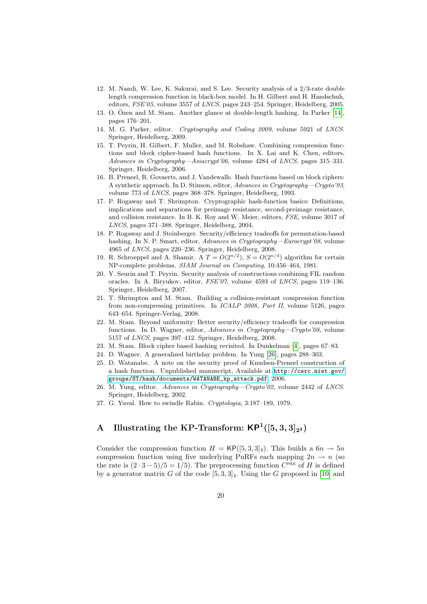- <span id="page-19-11"></span>12. M. Nandi, W. Lee, K. Sakurai, and S. Lee. Security analysis of a 2/3-rate double length compression function in black-box model. In H. Gilbert and H. Handschuh, editors, FSE'05, volume 3557 of LNCS, pages 243–254. Springer, Heidelberg, 2005.
- <span id="page-19-3"></span>13. O. Özen and M. Stam. Another glance at double-length hashing. In Parker  $[14]$ , pages 176–201.
- <span id="page-19-16"></span>14. M. G. Parker, editor. Cryptography and Coding 2009, volume 5921 of LNCS. Springer, Heidelberg, 2009.
- <span id="page-19-4"></span>15. T. Peyrin, H. Gilbert, F. Muller, and M. Robshaw. Combining compression functions and block cipher-based hash functions. In X. Lai and K. Chen, editors, Advances in Cryptography—Asiacrypt'06, volume 4284 of LNCS, pages 315–331. Springer, Heidelberg, 2006.
- <span id="page-19-0"></span>16. B. Preneel, R. Govaerts, and J. Vandewalle. Hash functions based on block ciphers: A synthetic approach. In D. Stinson, editor, Advances in Cryptography—Crypto'93, volume 773 of LNCS, pages 368–378. Springer, Heidelberg, 1993.
- <span id="page-19-9"></span>17. P. Rogaway and T. Shrimpton. Cryptographic hash-function basics: Definitions, implications and separations for preimage resistance, second-preimage resistance, and collision resistance. In B. K. Roy and W. Meier, editors, FSE, volume 3017 of LNCS, pages 371–388. Springer, Heidelberg, 2004.
- <span id="page-19-14"></span>18. P. Rogaway and J. Steinberger. Security/efficiency tradeoffs for permutation-based hashing. In N. P. Smart, editor, Advances in Cryptography—Eurocrypt'08, volume 4965 of LNCS, pages 220–236. Springer, Heidelberg, 2008.
- <span id="page-19-8"></span>19. R. Schroeppel and A. Shamir. A  $T = O(2^{n/2}), S = O(2^{n/4})$  algorithm for certain NP-complete problems. SIAM Journal on Computing, 10:456–464, 1981.
- <span id="page-19-6"></span>20. Y. Seurin and T. Peyrin. Security analysis of constructions combining FIL random oracles. In A. Biryukov, editor, FSE'07, volume 4593 of LNCS, pages 119–136. Springer, Heidelberg, 2007.
- <span id="page-19-12"></span>21. T. Shrimpton and M. Stam. Building a collision-resistant compression function from non-compressing primitives. In ICALP 2008, Part II, volume 5126, pages 643–654. Springer-Verlag, 2008.
- <span id="page-19-13"></span>22. M. Stam. Beyond uniformity: Better security/efficiency tradeoffs for compression functions. In D. Wagner, editor, Advances in Cryptography—Crypto'08, volume 5157 of LNCS, pages 397–412. Springer, Heidelberg, 2008.
- <span id="page-19-1"></span>23. M. Stam. Block cipher based hashing revisited. In Dunkelman [\[4\]](#page-18-10), pages 67–83.
- <span id="page-19-7"></span>24. D. Wagner. A generalized birthday problem. In Yung [\[26\]](#page-19-15), pages 288–303.
- <span id="page-19-5"></span>25. D. Watanabe. A note on the security proof of Knudsen-Preneel construction of a hash function. Unpublished manuscript, Available at [http://csrc.nist.gov/](http://csrc.nist.gov/groups/ST/hash/documents/WATANABE_kp_attack.pdf) [groups/ST/hash/documents/WATANABE\\_kp\\_attack.pdf](http://csrc.nist.gov/groups/ST/hash/documents/WATANABE_kp_attack.pdf), 2006.
- <span id="page-19-15"></span>26. M. Yung, editor. Advances in Cryptography—Crypto'02, volume 2442 of LNCS. Springer, Heidelberg, 2002.
- <span id="page-19-2"></span>27. G. Yuval. How to swindle Rabin. Cryptologia, 3:187–189, 1979.

## <span id="page-19-10"></span>A Illustrating the KP-Transform:  $\mathsf{KP}^1([5,3,3]_{2^2})$

Consider the compression function  $H = \text{KP}([5, 3, 3]_4)$ . This builds a  $6n \rightarrow 5n$ compression function using five underlying PuRFs each mapping  $2n \rightarrow n$  (so the rate is  $(2 \cdot 3 - 5)/5 = 1/5$ . The preprocessing function  $C<sup>PRE</sup>$  of H is defined by a generator matrix G of the code  $[5, 3, 3]_4$ . Using the G proposed in [\[10\]](#page-18-6) and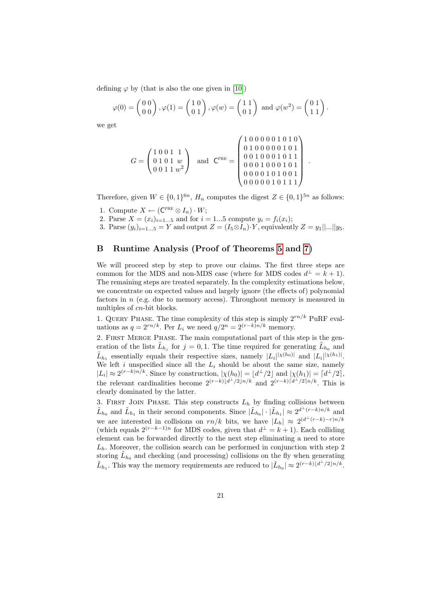defining  $\varphi$  by (that is also the one given in [\[10\]](#page-18-6))

$$
\varphi(0) = \begin{pmatrix} 0 & 0 \\ 0 & 0 \end{pmatrix}, \varphi(1) = \begin{pmatrix} 1 & 0 \\ 0 & 1 \end{pmatrix}, \varphi(w) = \begin{pmatrix} 1 & 1 \\ 0 & 1 \end{pmatrix} \text{ and } \varphi(w^2) = \begin{pmatrix} 0 & 1 \\ 1 & 1 \end{pmatrix}.
$$

we get

$$
G = \begin{pmatrix} 1 & 0 & 0 & 1 & 1 \\ 0 & 1 & 0 & 1 & w \\ 0 & 0 & 1 & 1 & w^2 \end{pmatrix} \text{ and } C^{\text{PRE}} = \begin{pmatrix} 1 & 0 & 0 & 0 & 0 & 0 & 0 & 1 & 0 \\ 0 & 1 & 0 & 0 & 0 & 0 & 0 & 1 & 0 & 1 \\ 0 & 0 & 1 & 0 & 0 & 0 & 1 & 0 & 1 & 1 \\ 0 & 0 & 0 & 1 & 0 & 0 & 0 & 1 & 0 & 1 \\ 0 & 0 & 0 & 0 & 1 & 0 & 1 & 0 & 0 & 1 \\ 0 & 0 & 0 & 0 & 0 & 1 & 0 & 1 & 1 & 1 \end{pmatrix}
$$

.

Therefore, given  $W \in \{0,1\}^{6n}$ ,  $H_n$  computes the digest  $Z \in \{0,1\}^{5n}$  as follows:

- 1. Compute  $X \leftarrow (\mathsf{C}^{\text{PRE}} \otimes I_n) \cdot W;$
- 2. Parse  $X = (x_i)_{i=1...5}$  and for  $i = 1...5$  compute  $y_i = f_i(x_i)$ ;
- 3. Parse  $(y_i)_{i=1...5} = Y$  and output  $Z = (I_5 \otimes I_n) \cdot Y$ , equivalently  $Z = y_1 ||...|| y_5$ .

## <span id="page-20-0"></span>B Runtime Analysis (Proof of Theorems [5](#page-15-1) and [7\)](#page-17-0)

We will proceed step by step to prove our claims. The first three steps are common for the MDS and non-MDS case (where for MDS codes  $d^{\perp} = k + 1$ ). The remaining steps are treated separately. In the complexity estimations below, we concentrate on expected values and largely ignore (the effects of) polynomial factors in  $n$  (e.g. due to memory access). Throughout memory is measured in multiples of cn-bit blocks.

1. QUERY PHASE. The time complexity of this step is simply  $2^{rn/k}$  PuRF evaluations as  $q = 2^{rn/k}$ . Per  $L_i$  we need  $q/2^n = 2^{(r-k)n/k}$  memory.

2. FIRST MERGE PHASE. The main computational part of this step is the generation of the lists  $\tilde{L}_{h_j}$  for  $j=0,1$ . The time required for generating  $\tilde{L}_{h_0}$  and  $\tilde{L}_{h_1}$  essentially equals their respective sizes, namely  $|L_i|^{|\chi(h_0)|}$  and  $|L_i|^{|\chi(h_1)|}$ . We left i unspecified since all the  $L_i$  should be about the same size, namely  $|L_i| \approx 2^{(r-k)n/k}$ . Since by construction,  $|\chi(h_0)| = \lfloor d^{\perp}/2 \rfloor$  and  $|\chi(h_1)| = \lceil d^{\perp}/2 \rceil$ , the relevant cardinalities become  $2^{(r-k)(d^{\perp}/2\ln/k)}$  and  $2^{(r-k)(d^{\perp}/2\ln/k)}$ . This is clearly dominated by the latter.

3. FIRST JOIN PHASE. This step constructs  $L<sub>h</sub>$  by finding collisions between  $\tilde{L}_{h_0}$  and  $\tilde{L}_{h_1}$  in their second components. Since  $|\tilde{L}_{h_0}| \cdot |\tilde{L}_{h_1}| \approx 2^{d^{\perp}(r-k)n/k}$  and we are interested in collisions on  $rn/k$  bits, we have  $|L_h| \approx 2^{(d^{\perp}(r-k)-r)n/k}$ (which equals  $2^{(r-k-1)n}$  for MDS codes, given that  $d^{\perp} = k+1$ ). Each colliding element can be forwarded directly to the next step eliminating a need to store  $L<sub>h</sub>$ . Moreover, the collision search can be performed in conjunction with step 2 storing  $\tilde{L}_{h_0}$  and checking (and processing) collisions on the fly when generating  $\tilde{L}_{h_1}$ . This way the memory requirements are reduced to  $|\tilde{L}_{h_0}| \approx 2^{(r-k)\lfloor d^{\perp}/2\rfloor n/k}$ .